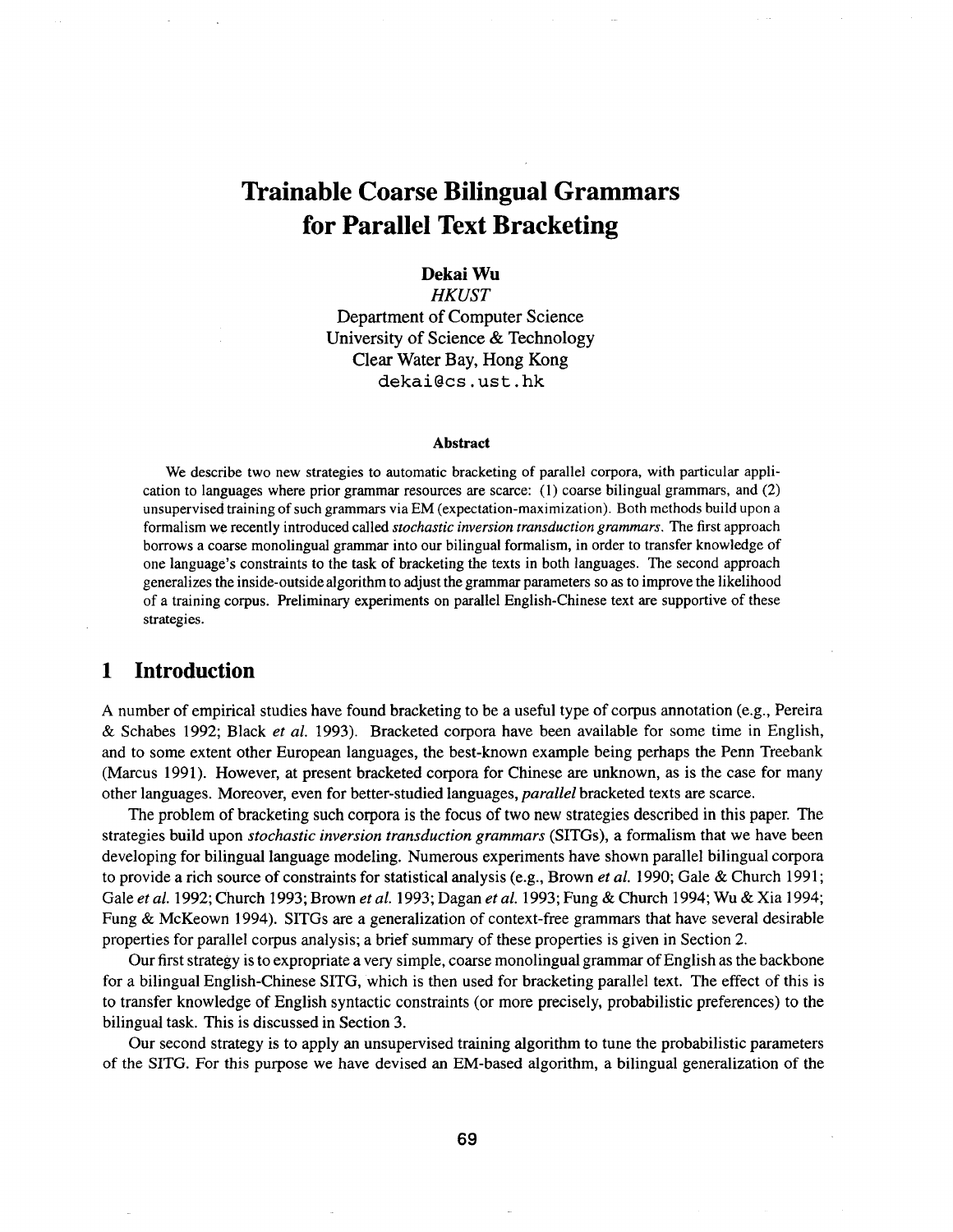# **Trainable Coarse Bilingual Grammars for Parallel Text Bracketing**

#### **Dekai Wu**

*HKUST*  Department of Computer Science University of Science & Technology Clear Water Bay, Hong Kong dekai@cs, ust. hk

#### **Abstract**

We describe two new strategies to automatic bracketing of parallel corpora, with particular application to languages where prior grammar resources are scarce: (1) coarse bilingual grammars, and (2) unsupervised training of such grammars via EM (expectation-maximization). Both methods build upon a formalism we recently introduced called *stochastic inversion transduction grammars*. The first approach borrows a coarse monolingual grammar into our bilingual formalism, in order to transfer knowledge of one language's constraints to the task of bracketing the texts in both languages. The second approach generalizes the inside-outside algorithm to adjust the grammar parameters so as to improve the likelihood of a training corpus. Preliminary experiments on parallel English-Chinese text are supportive of these strategies.

# **1 Introduction**

A number of empirical studies have found bracketing to be a useful type of corpus annotation (e.g., Pereira & Schabes 1992; Black *et al.* 1993). Bracketed corpora have been available for some time in English, and to some extent other European languages, the best-known example being perhaps the Penn Treebank (Marcus 1991). However, at present bracketed corpora for Chinese are unknown, as is the case for many other languages. Moreover, even for better-studied languages, *parallel* bracketed texts are scarce.

The problem of bracketing such corpora is the focus of two new strategies described in this paper. The strategies build upon *stochastic inversion transduction grammars* (SITGs), a formalism that we have been developing for bilingual language modeling. Numerous experiments have shown parallel bilingual corpora to provide a rich source of constraints for statistical analysis (e.g., Brown *et al.* 1990; Gale & Church 1991 ; Gale *et al.* 1992; Church 1993; Brown *et al.* 1993; Dagan *et al.* 1993; Fung & Church 1994; Wu & Xia 1994; Fung & McKeown 1994). SITGs are a generalization of context-free grammars that have several desirable properties for parallel corpus analysis; a brief summary of these properties is given in Section 2.

Our first strategy is to expropriate a very simple, coarse monolingual grammar of English as the backbone for a bilingual English-Chinese SITG, which is then used for bracketing parallel text. The effect of this is to transfer knowledge of English syntactic constraints (or more precisely, probabilistic preferences) to the bilingual task. This is discussed in Section 3.

Our second strategy is to apply an unsupervised training algorithm to tune the probabilistic parameters of the SITG. For this purpose we have devised an EM-based algorithm, a bilingual generalization of the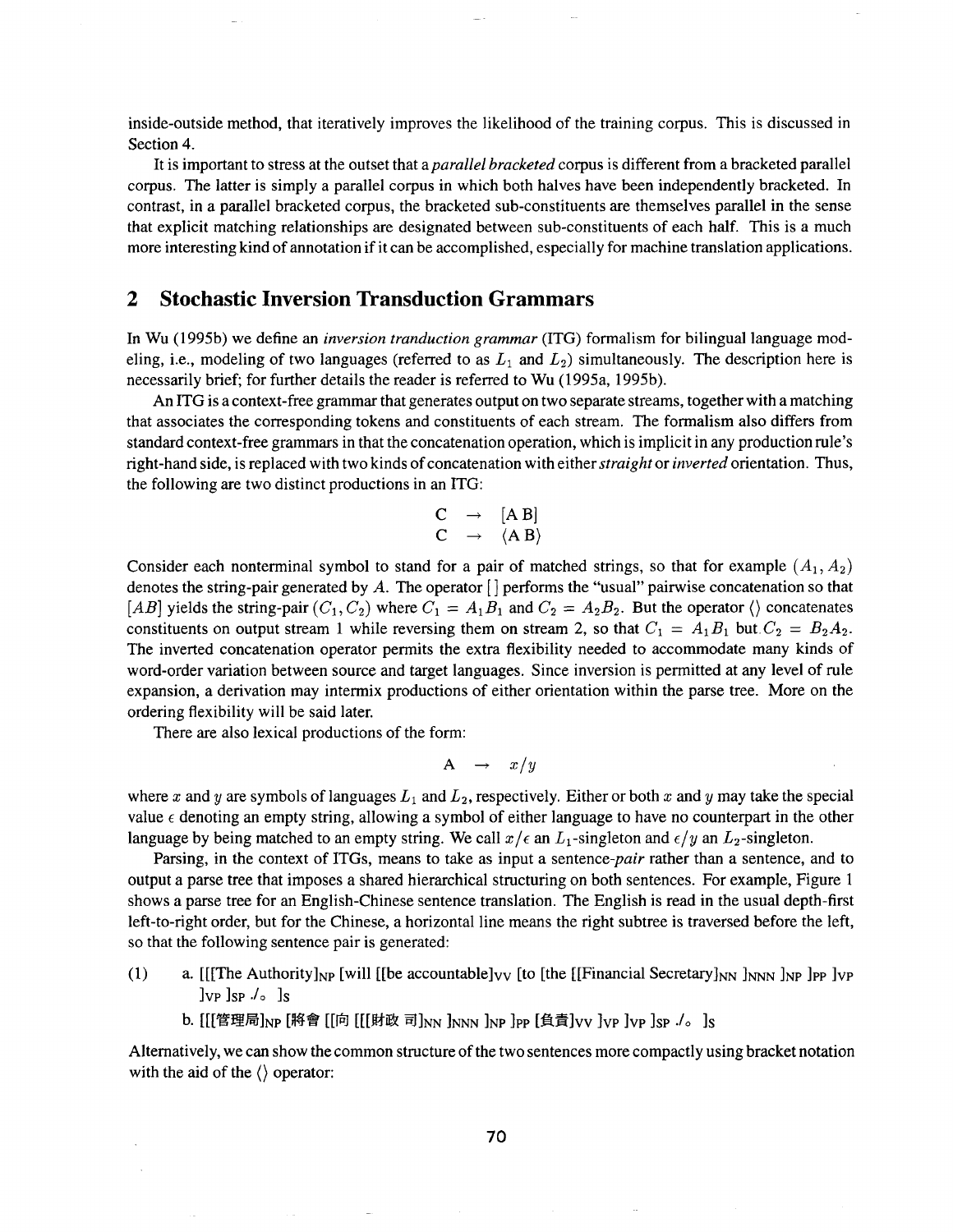inside-outside method, that iteratively improves the likelihood of the training corpus. This is discussed in Section 4.

It is important to stress at the outset that *aparallel bracketed* corpus is different from a bracketed parallel corpus. The latter is simply a parallel corpus in which both halves have been independently bracketed. In contrast, in a parallel bracketed corpus, the bracketed sub-constituents are themselves parallel in the sense that explicit matching relationships are designated between sub-constituents of each half. This is a much more interesting kind of annotation if it can be accomplished, especially for machine translation applications.

## **2 Stochastic Inversion Transduction Grammars**

In Wu (1995b) we define an *inversion tranduction grammar* (ITG) formalism for bilingual language modeling, i.e., modeling of two languages (referred to as  $L_1$  and  $L_2$ ) simultaneously. The description here is necessarily brief; for further details the reader is referred to Wu (1995a, 1995b).

An ITG is a context-free grammar that generates output on two separate streams, together with a matching that associates the corresponding tokens and constituents of each stream. The formalism also differs from standard context-free grammars in that the concatenation operation, which is implicit in any production rule's right-hand side, is replaced with two kinds of concatenation with either *straight* or *inverted* orientation. Thus, the following are two distinct productions in an ITG:

$$
\begin{array}{ccc}\nC & \rightarrow & [A \ B] \\
C & \rightarrow & \langle A \ B \rangle\n\end{array}
$$

Consider each nonterminal symbol to stand for a pair of matched strings, so that for example  $(A_1, A_2)$ denotes the string-pair generated by A. The operator  $\lceil \cdot \rceil$  performs the "usual" pairwise concatenation so that [AB] yields the string-pair  $(C_1, C_2)$  where  $C_1 = A_1 B_1$  and  $C_2 = A_2 B_2$ . But the operator  $\langle \rangle$  concatenates constituents on output stream 1 while reversing them on stream 2, so that  $C_1 = A_1 B_1$  but  $C_2 = B_2 A_2$ . The inverted concatenation operator permits the extra flexibility needed to accommodate many kinds of word-order variation between source and target languages. Since inversion is permitted at any level of rule expansion, a derivation may intermix productions of either orientation within the parse tree. More on the ordering flexibility will be said later.

There are also lexical productions of the form:

$$
A \rightarrow x/y
$$

where x and y are symbols of languages  $L_1$  and  $L_2$ , respectively. Either or both x and y may take the special value  $\epsilon$  denoting an empty string, allowing a symbol of either language to have no counterpart in the other language by being matched to an empty string. We call  $x/\epsilon$  an  $L_1$ -singleton and  $\epsilon/y$  an  $L_2$ -singleton.

Parsing, in the context of ITGs, means to take as input a *sentence-pair* rather than a sentence, and to output a parse tree that imposes a shared hierarchical structuring on both sentences. For example, Figure 1 shows a parse tree for an English-Chinese sentence translation. The English is read in the usual depth-first left-to-right order, but for the Chinese, a horizontal line means the right subtree is traversed before the left, so that the following sentence pair is generated:

- (1) a. [[[The Authority]<sub>NP</sub> [will [[be accountable]<sub>VV</sub> [to [the [[Financial Secretary]<sub>NN</sub> ]<sub>NNN</sub> ]<sub>NP</sub> ]<sub>VP</sub> ]<sub>VP</sub>  $JvP$   $JsP$   $Js$ 
	- b. [[[管理局]<sub>NP</sub> [將會 [[向 [[[財政 司]<sub>NN</sub> ]<sub>NNN</sub> ]<sub>NP</sub> ]<sub>PP</sub> [負責]vv ]vp ]vp ]sp ./。]s

Alternatively, we can show the common structure of the two sentences more compactly using bracket notation with the aid of the  $\langle \rangle$  operator: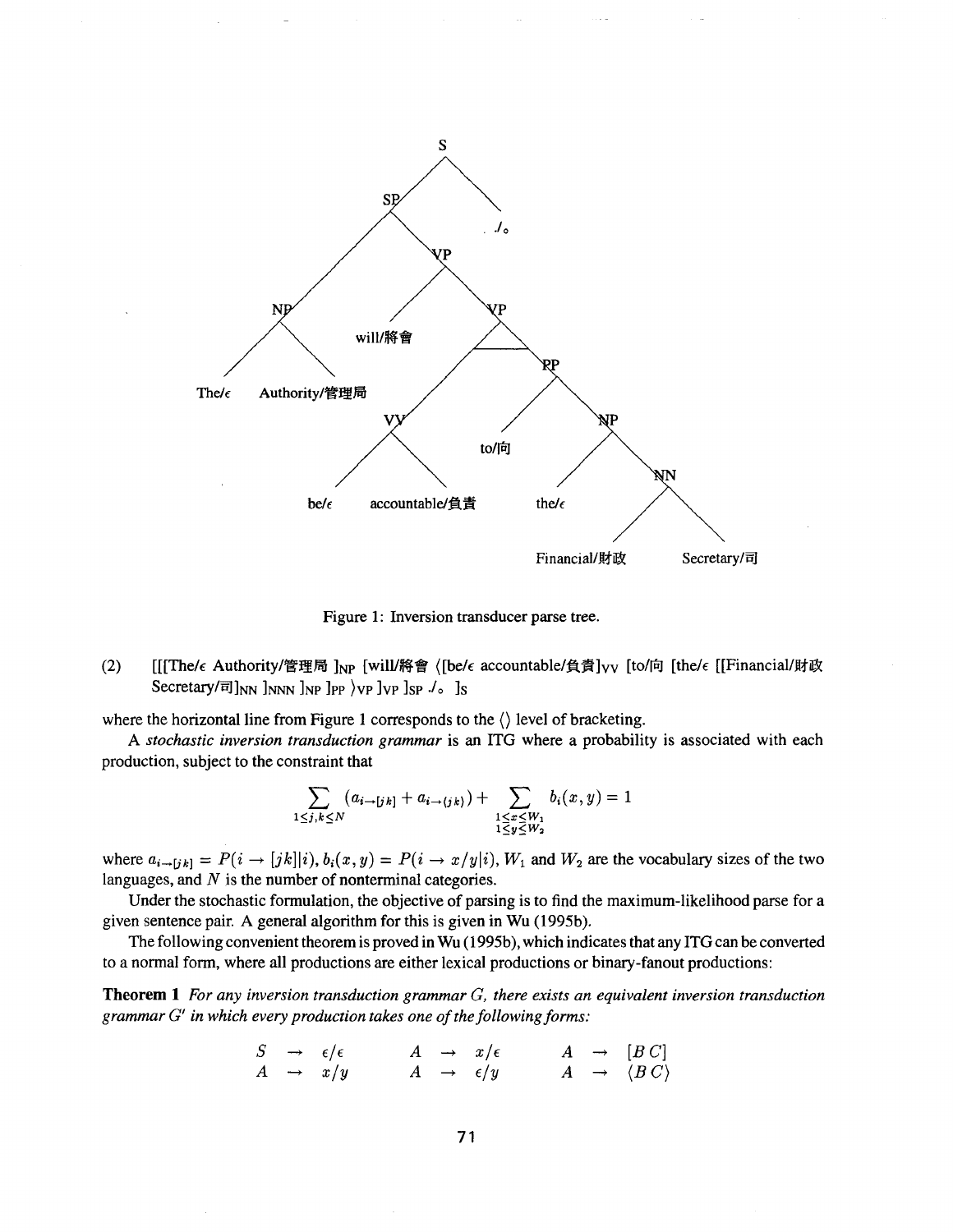

Figure 1: Inversion transducer parse tree.

(2)  $[[[The/\epsilon Authority/\nabla \times H_{NP}][will/\nabla \times \cdot \cdot]$  ([be/ $\epsilon$  accountable/負責]<sub>VV</sub> [to/向 [the/ $\epsilon$  [[Financial/財政 Secretary/ $\vec{v}$ ]<sub>NN</sub> ]<sub>NNN</sub> ]<sub>NP</sub> ]<sub>PP</sub>  $\rangle$ <sub>VP</sub> ]<sub>SP</sub> ./<sub>o</sub> ]<sub>S</sub>

where the horizontal line from Figure 1 corresponds to the  $\langle \rangle$  level of bracketing.

*A stochastic inversion transduction grammar* is an ITG where a probability is associated with each production, subject to the constraint that

$$
\sum_{1 \le j,k \le N} (a_{i \to [jk]} + a_{i \to (jk)}) + \sum_{\substack{1 \le x \le W_1 \\ 1 \le y \le W_2}} b_i(x,y) = 1
$$

where  $a_{i\to jk} = P(i \to [jk]|i)$ ,  $b_i(x, y) = P(i \to x/y|i)$ ,  $W_1$  and  $W_2$  are the vocabulary sizes of the two languages, and  $N$  is the number of nonterminal categories.

Under the stochastic formulation, the objective of parsing is to find the maximum-likelihood parse for a given sentence pair. A general algorithm for this is given in Wu (1995b).

The following convenient theorem is proved in Wu (1995b), which indicates that any ITG can be converted to a normal form, where all productions are either lexical productions or binary-fanout productions:

Theorem 1 *For any inversion transduction grammar G, there exists an equivalent inversion transduction grammar G' in which every production takes one of the following forms:* 

$$
\begin{array}{ccccccc}\nS & \to & \epsilon/\epsilon & & A & \to & x/\epsilon & & A & \to & [B C] \\
A & \to & x/y & & A & \to & \epsilon/y & & A & \to & \langle B C \rangle\n\end{array}
$$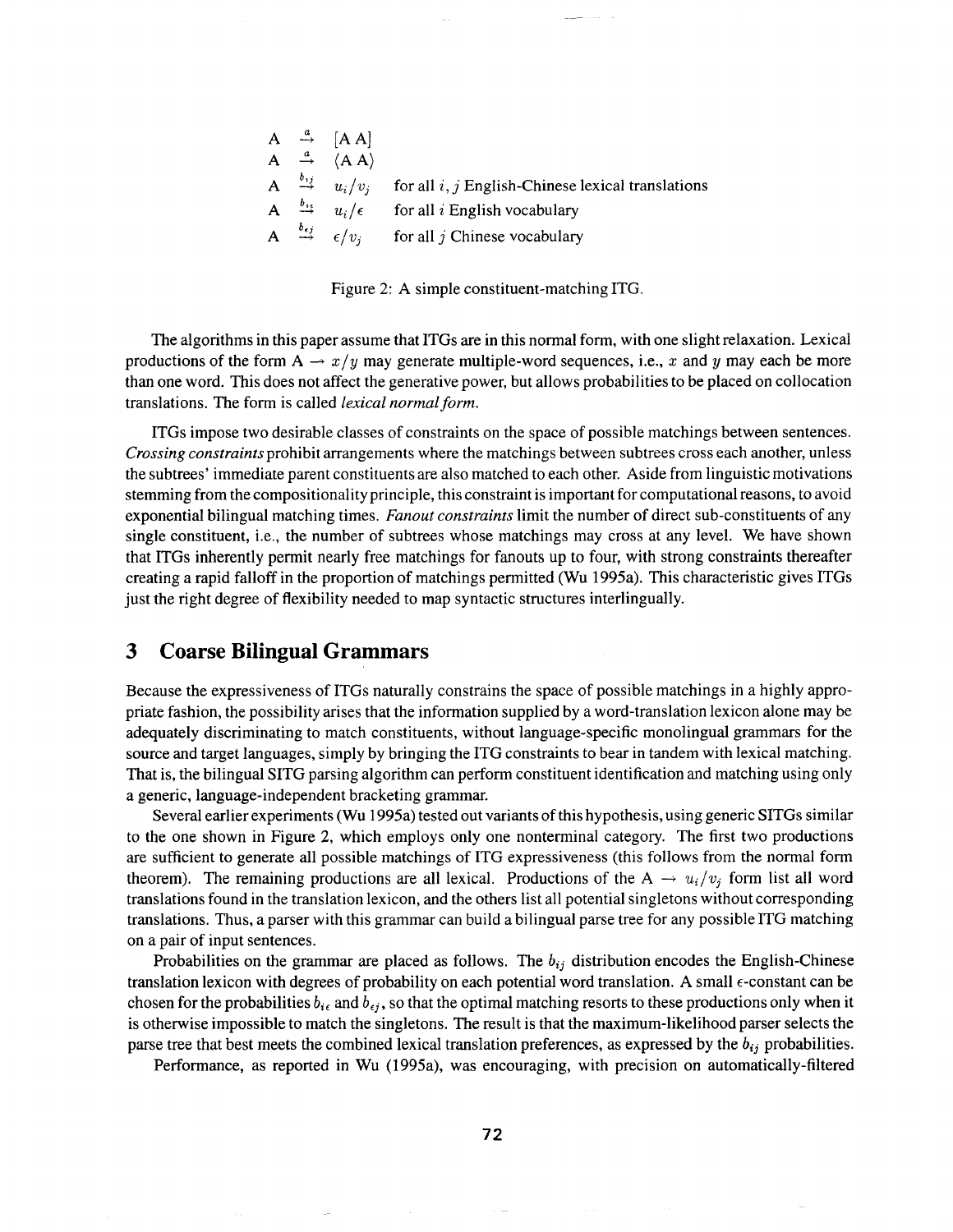|  | $A \stackrel{a}{\rightarrow} [AA]$                |                                                                                              |
|--|---------------------------------------------------|----------------------------------------------------------------------------------------------|
|  | $A \stackrel{a}{\rightarrow} \langle A A \rangle$ |                                                                                              |
|  |                                                   | A $\stackrel{b_{ij}}{\rightarrow} u_i/v_i$ for all i, j English-Chinese lexical translations |
|  |                                                   | A $\stackrel{b_{16}}{\rightarrow} u_i/\epsilon$ for all <i>i</i> English vocabulary          |
|  |                                                   | A $\xrightarrow{b_{ej}} \epsilon/v_i$ for all <i>j</i> Chinese vocabulary                    |

Figure 2: A simple constituent-matching ITG.

The algorithms in this paper assume that ITGs are in this normal form, with one slight relaxation. Lexical productions of the form  $A \rightarrow x/y$  may generate multiple-word sequences, i.e., x and y may each be more than one word. This does not affect the generative power, but allows probabilities to be placed on collocation translations. The form is called *lexical normal form.* 

ITGs impose two desirable classes of constraints on the space of possible matchings between sentences. *Crossing constraints* prohibit arrangements where the matchings between subtrees cross each another, unless the subtrees' immediate parent constituents are also matched to each other. Aside from linguistic motivations stemming from the compositionality principle, this constraint is important for computational reasons, to avoid exponential bilingual matching times. *Fanout constraints* limit the number of direct sub-constituents of any single constituent, i.e., the number of subtrees whose matchings may cross at any level. We have shown that ITGs inherently permit nearly free matchings for fanouts up to four, with strong constraints thereafter creating a rapid falloff in the proportion of matchings permitted (Wu 1995a). This characteristic gives ITGs just the right degree of flexibility needed to map syntactic structures interlingually.

# **3 Coarse Bilingual Grammars**

Because the expressiveness of ITGs naturally constrains the space of possible matchings in a highly appropriate fashion, the possibility arises that the information supplied by a word-translation lexicon alone may be adequately discriminating to match constituents, without language-specific monolingual grammars for the source and target languages, simply by bringing the ITG constraints to bear in tandem with lexical matching. That is, the bilingual SITG parsing algorithm can perform constituent identification and matching using only a generic, language-independent bracketing grammar.

Several earlier experiments (Wu 1995a) tested out variants of this hypothesis, using generic SITGs similar to the one shown in Figure 2, which employs only one nonterminal category. The first two productions are sufficient to generate all possible matchings of ITG expressiveness (this follows from the normal form theorem). The remaining productions are all lexical. Productions of the A  $\rightarrow u_i/v_j$  form list all word translations found in the translation lexicon, and the others list all potential singletons without corresponding translations. Thus, a parser with this grammar can build a bilingual parse tree for any possible ITG matching on a pair of input sentences.

Probabilities on the grammar are placed as follows. The  $b_{ij}$  distribution encodes the English-Chinese translation lexicon with degrees of probability on each potential word translation. A small e-constant can be chosen for the probabilities  $b_i$  and  $b_{ij}$ , so that the optimal matching resorts to these productions only when it is otherwise impossible to match the singletons. The result is that the maximum-likelihood parser selects the parse tree that best meets the combined lexical translation preferences, as expressed by the  $b_{ij}$  probabilities.

Performance, as reported in Wu (1995a), was encouraging, with precision on automatically-filtered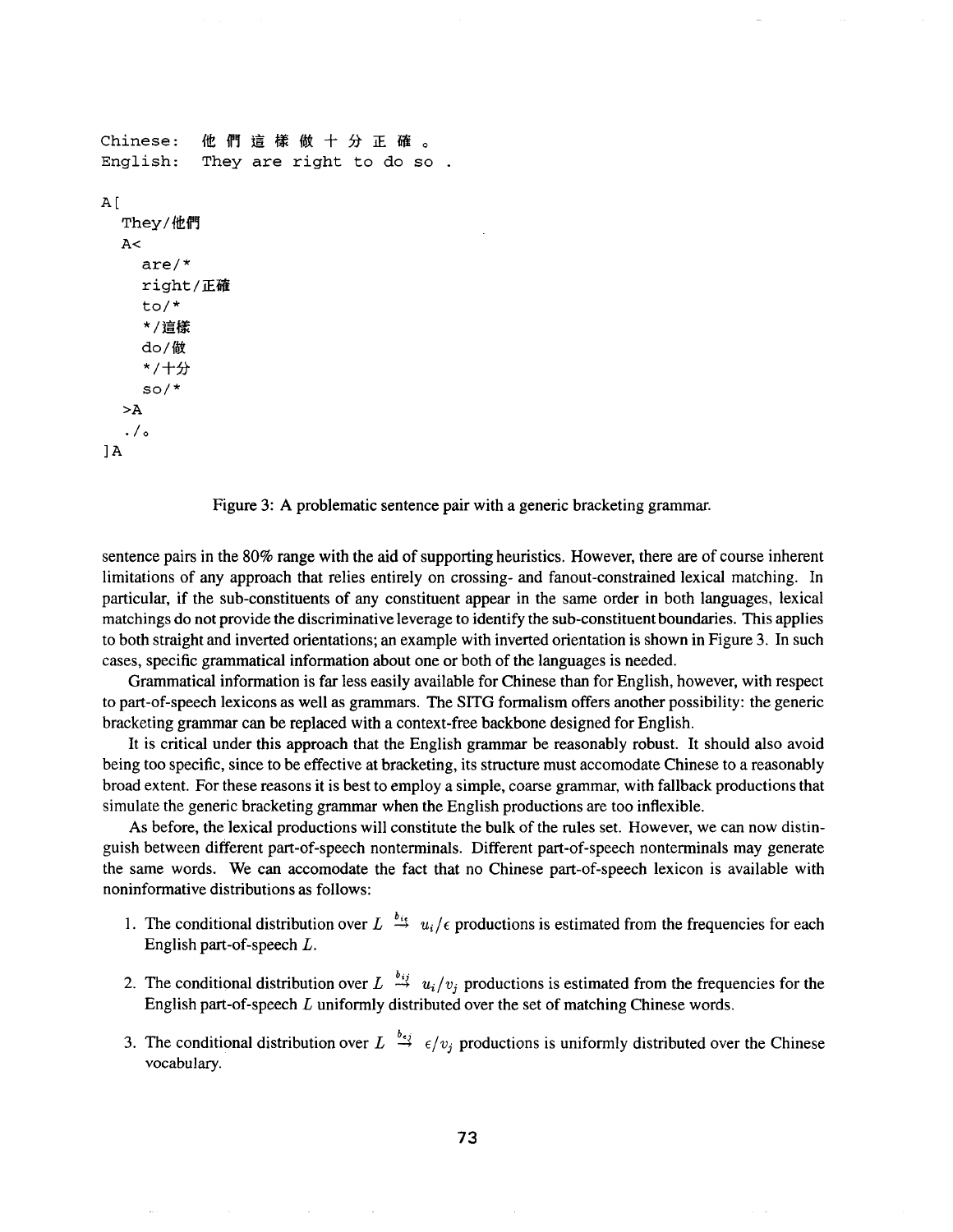```
Chinese: 他 們 這 樣 做 十 分 正 確 。
English: They are right to do so 
A[
  They/他們
  A<are/* 
    right/正確
    to/* 
    */這樣
    do/做
    */十分
    so/* 
  >A 
  ./o 
1A
```
Figure 3: A problematic sentence pair with a generic bracketing grammar.

sentence pairs in the 80% range with the aid of supporting heuristics. However, there are of course inherent limitations of any approach that relies entirely on crossing- and fanout-constrained lexical matching. In particular, if the sub-constituents of any constituent appear in the same order in both languages, lexical matchings do not provide the discriminative leverage to identify the sub-constituent boundaries. This applies to both straight and inverted orientations; an example with inverted orientation is shown in Figure 3. In such cases, specific grammatical information about one or both of the languages is needed.

Grammatical information is far less easily available for Chinese than for English, however, with respect to part-of-speech lexicons as well as grammars. The SITG formalism offers another possibility: the generic bracketing grammar can be replaced with a context-free backbone designed for English.

It is critical under this approach that the English grammar be reasonably robust. It should also avoid being too specific, since to be effective at bracketing, its structure must accomodate Chinese to a reasonably broad extent. For these reasons it is best to employ a simple, coarse grammar, with fallback productions that simulate the generic bracketing grammar when the English productions are too inflexible.

As before, the lexical productions will constitute the bulk of the rules set. However, we can now distinguish between different part-of-speech nonterminals. Different part-of-speech nonterminals may generate the same words. We can accomodate the fact that no Chinese part-of-speech lexicon is available with noninformative distributions as follows:

- 1. The conditional distribution over  $L \stackrel{b_{ij}}{\rightarrow} u_i/\epsilon$  productions is estimated from the frequencies for each English part-of-speech L.
- 2. The conditional distribution over  $L \stackrel{b_{ij}}{\rightarrow} u_i/v_j$  productions is estimated from the frequencies for the English part-of-speech L uniformly distributed over the set of matching Chinese words.
- 3. The conditional distribution over  $L \stackrel{b_{\epsilon j}}{\rightarrow} \epsilon/v_j$  productions is uniformly distributed over the Chinese vocabulary.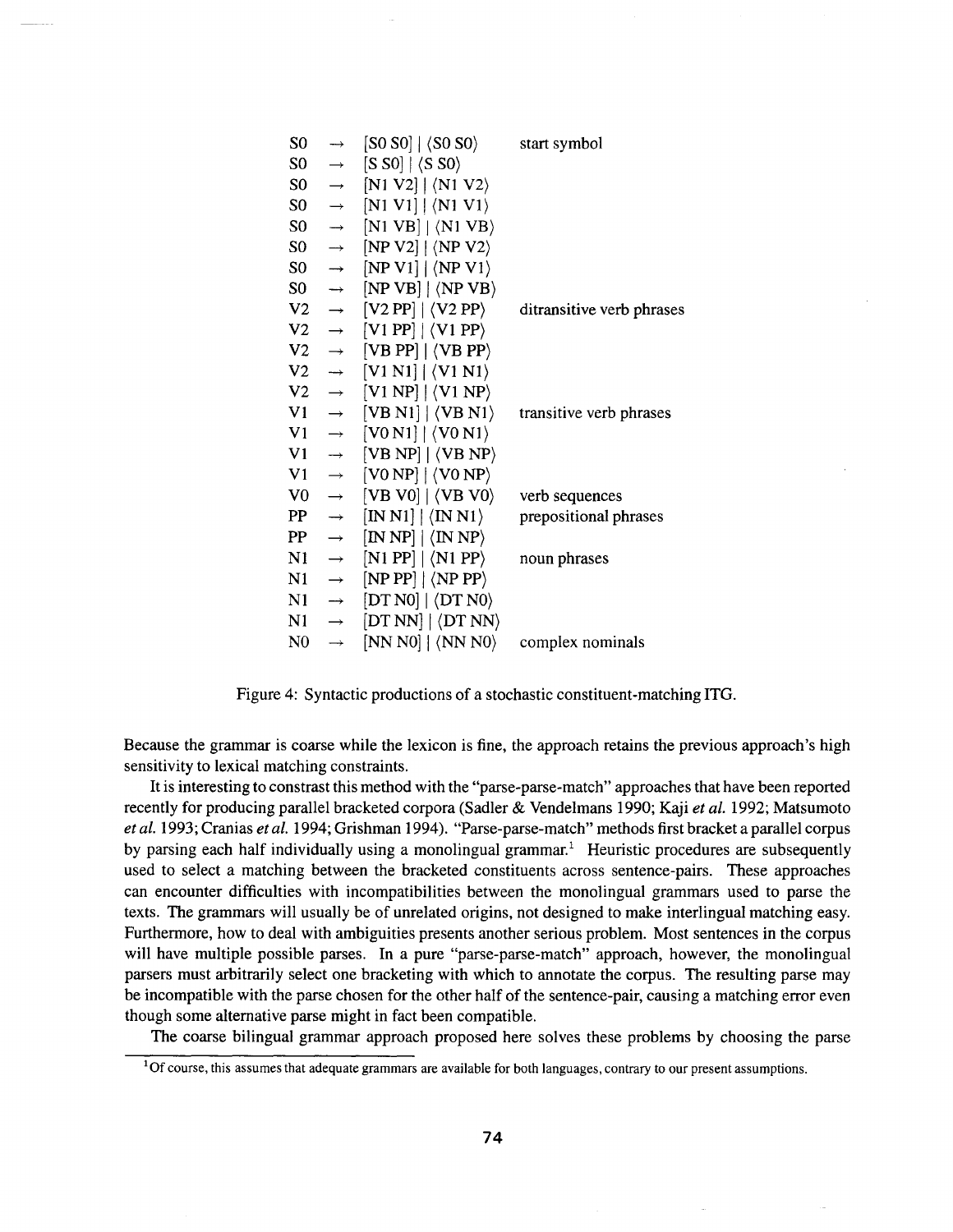| $\longrightarrow$ | $[ S0~S0 ] \mid \langle S0~S0 \rangle$                        | start symbol                                        |
|-------------------|---------------------------------------------------------------|-----------------------------------------------------|
| $\rightarrow$     |                                                               |                                                     |
| $\longrightarrow$ | $[N1 V2]   \langle N1 V2 \rangle$                             |                                                     |
| $\longrightarrow$ | $[N1 V1]   \langle N1 V1 \rangle$                             |                                                     |
| $\longrightarrow$ | $[N1 VB]   \langle N1 VB \rangle$                             |                                                     |
| $\rightarrow$     | $[NP V2]   \langle NP V2 \rangle$                             |                                                     |
| $\rightarrow$     | $[NP V1]   \langle NP V1 \rangle$                             |                                                     |
| $\longrightarrow$ | $[NPVB]   \langle NPVB \rangle$                               |                                                     |
| $\longrightarrow$ | $[V2 PP]   \langle V2 PP \rangle$                             | ditransitive verb phrases                           |
| $\rightarrow$     | $[V1 PP]   \langle V1 PP \rangle$                             |                                                     |
| $\longrightarrow$ | $[VB PP]   \langle VB PP \rangle$                             |                                                     |
| $\longrightarrow$ | $[V1 N1]   \langle V1 N1 \rangle$                             |                                                     |
| $\longrightarrow$ | $[V1 NP]$ $\langle VI NP \rangle$                             |                                                     |
| $\longrightarrow$ | $[VB N1]   \langle VB N1 \rangle$                             | transitive verb phrases                             |
| $\longrightarrow$ | $[VO N1]   \langle VO N1 \rangle$                             |                                                     |
| $\rightarrow$     | $[VB NP]   \langle VB NP \rangle$                             |                                                     |
| $\rightarrow$     | $[VO NP]   \langle VO NP \rangle$                             |                                                     |
| $\rightarrow$     | $[VB \space \text{V0}]   \langle VB \space \text{V0} \rangle$ | verb sequences                                      |
| $\longrightarrow$ | $[IN N1]   \langle IN N1 \rangle$                             | prepositional phrases                               |
| $\rightarrow$     | $[IN NP]   \langle IN NP \rangle$                             |                                                     |
| $\rightarrow$     | $[N1 PP]   \langle N1 PP \rangle$                             | noun phrases                                        |
| $\rightarrow$     | $[NP PP]   \langle NP PP \rangle$                             |                                                     |
| $\rightarrow$     | $[DT\ N0]   \langle DT\ N0 \rangle$                           |                                                     |
| $\longrightarrow$ | $ DT NN $ $\langle DT NN \rangle$                             |                                                     |
| $\rightarrow$     | $[NN N0]   \langle NN N0 \rangle$                             | complex nominals                                    |
|                   |                                                               | $\vert$ SSO $\vert$ $\vert$ $\langle$ SSO $\rangle$ |

Figure 4: Syntactic productions of a stochastic constituent-matching ITG.

Because the grammar is coarse while the lexicon is fine, the approach retains the previous approach's high sensitivity to lexical matching constraints.

It is interesting to constrast this method with the "parse-parse-match" approaches that have been reported recently for producing parallel bracketed corpora (Sadler & Vendelmans 1990; Kaji *et al.* 1992; Matsumoto *et al.* 1993; Cranias *et al.* 1994; Gfishman 1994). "Parse-parse-match" methods first bracket a parallel corpus by parsing each half individually using a monolingual grammar.<sup>1</sup> Heuristic procedures are subsequently used to select a matching between the bracketed constituents across sentence-pairs. These approaches can encounter difficulties with incompatibilities between the monolingual grammars used to parse the texts. The grammars will usually be of unrelated origins, not designed to make interlingual matching easy. Furthermore, how to deal with ambiguities presents another serious problem. Most sentences in the corpus will have multiple possible parses. In a pure "parse-parse-match" approach, however, the monolingual parsers must arbitrarily select one bracketing with which to annotate the corpus. The resulting parse may be incompatible with the parse chosen for the other half of the sentence-pair, causing a matching error even though some alternative parse might in fact been compatible.

The coarse bilingual grammar approach proposed here solves these problems by choosing the parse

 $1$ Of course, this assumes that adequate grammars are available for both languages, contrary to our present assumptions.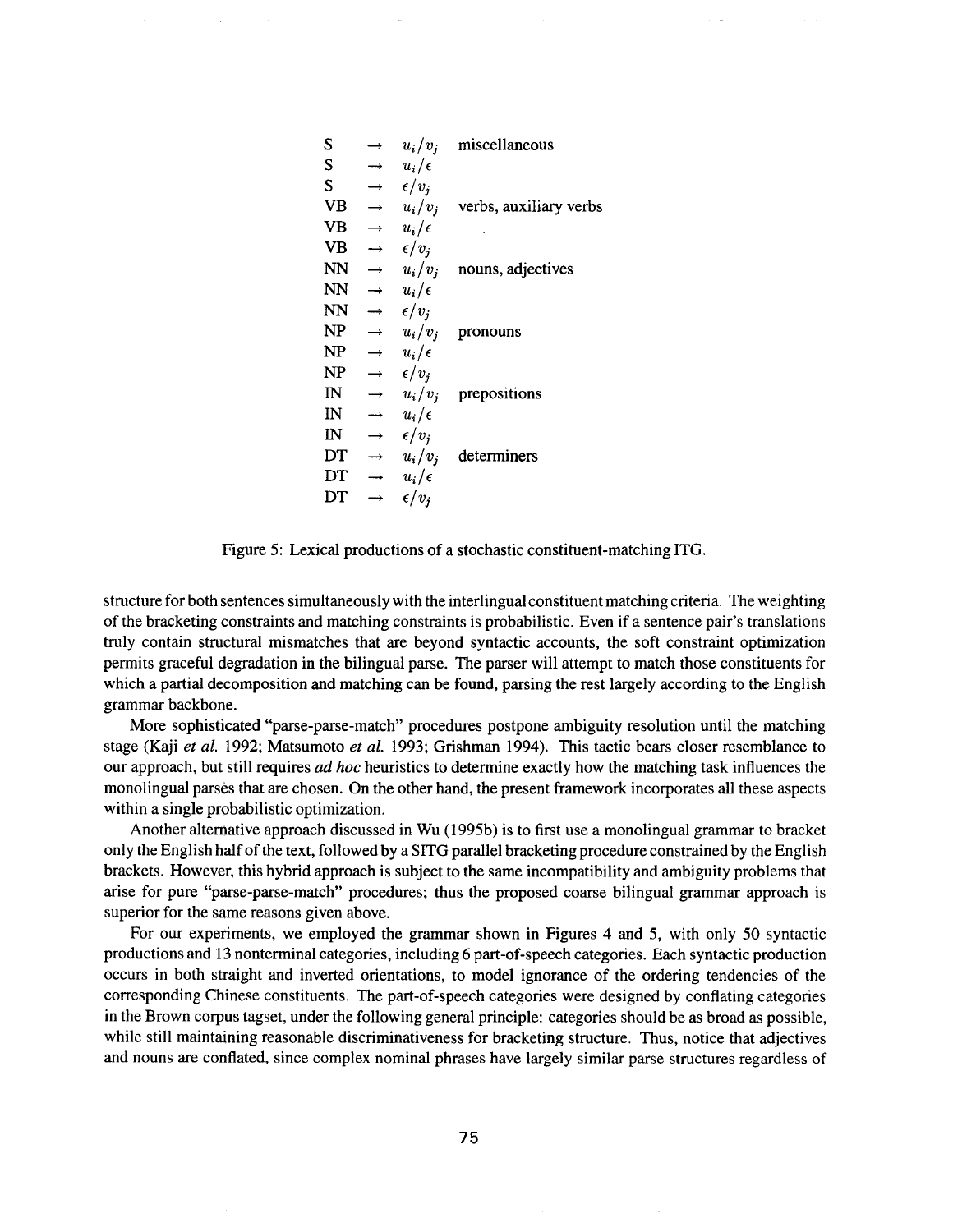| S                       |                   | $u_i/v_i$      | miscellaneous                    |
|-------------------------|-------------------|----------------|----------------------------------|
| S                       |                   | $u_i/\epsilon$ |                                  |
| S                       |                   | $\epsilon/v_i$ |                                  |
| <b>VB</b>               | $\rightarrow$     |                | $u_i/v_i$ verbs, auxiliary verbs |
| VB                      | $\rightarrow$     | $u_i/\epsilon$ |                                  |
| VB                      | $\longrightarrow$ | $\epsilon/v_i$ |                                  |
| <b>NN</b>               | $\rightarrow$     | $u_i/v_j$      | nouns, adjectives                |
| NN                      | $\rightarrow$     | $u_i/\epsilon$ |                                  |
| NN                      | $\rightarrow$     | $\epsilon/v_i$ |                                  |
| <b>NP</b>               | $\longrightarrow$ | $u_i/v_i$      | pronouns                         |
| NP                      | $\rightarrow$     | $u_i/\epsilon$ |                                  |
| NP                      | $\rightarrow$     | $\epsilon/v_i$ |                                  |
| $_{\rm IN}$             | $\rightarrow$     | $u_i/v_j$      | prepositions                     |
| IN                      | $\rightarrow$     | $u_i/\epsilon$ |                                  |
| $\mathbf{I} \mathbf{N}$ | $\rightarrow$     | $\epsilon/v_i$ |                                  |
| DT                      | $\rightarrow$     | $u_i/v_i$      | determiners                      |
| DT                      | $\rightarrow$     | $u_i/\epsilon$ |                                  |
| DT                      | $\rightarrow$     | $\epsilon/v_i$ |                                  |

Figure 5: Lexical productions of a stochastic constituent-matching ITG.

structure for both sentences simultaneously with the interlingual constituent matching criteria. The weighting of the bracketing constraints and matching constraints is probabilistic. Even if a sentence pair's translations truly contain structural mismatches that are beyond syntactic accounts, the soft constraint optimization permits graceful degradation in the bilingual parse. The parser will attempt to match those constituents for which a partial decomposition and matching can be found, parsing the rest largely according to the English grammar backbone.

More sophisticated "parse-parse-match" procedures postpone ambiguity resolution until the matching stage (Kaji *et al.* 1992; Matsumoto *et al.* 1993; Grishman 1994). This tactic bears closer resemblance to our approach, but still requires *ad hoc* heuristics to determine exactly how the matching task influences the monolingual parses that are chosen. On the other hand, the present framework incorporates all these aspects within a single probabilistic optimization.

Another alternative approach discussed in Wu (1995b) is to first use a monolingual grammar to bracket only the English half of the text, followed by a SITG parallel bracketing procedure constrained by the English brackets. However, this hybrid approach is subject to the same incompatibility and ambiguity problems that arise for pure "parse-parse-match" procedures; thus the proposed coarse bilingual grammar approach is superior for the same reasons given above.

For our experiments, we employed the grammar shown in Figures 4 and 5, with only 50 syntactic productions and 13 nonterminal categories, including 6 part-of-speech categories. Each syntactic production occurs in both straight and inverted orientations, to model ignorance of the ordering tendencies of the corresponding Chinese constituents. The part-of-speech categories were designed by conflating categories in the Brown corpus tagset, under the following general principle: categories should be as broad as possible, while still maintaining reasonable discriminativeness for bracketing structure. Thus, notice that adjectives and nouns are conflated, since complex nominal phrases have largely similar parse structures regardless of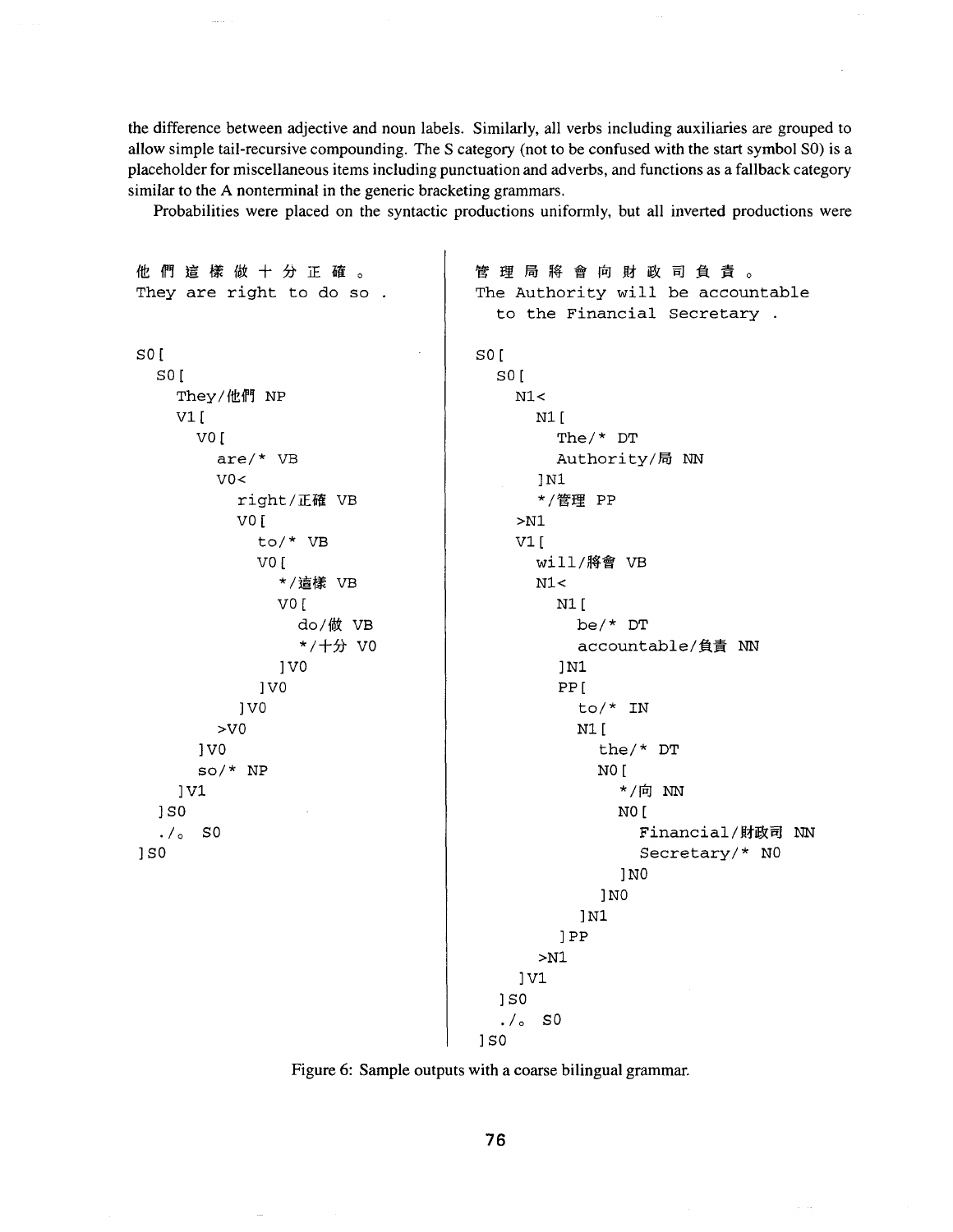the difference between adjective and noun labels. Similarly, all verbs including auxiliaries are grouped to allow simple tail-recursive compounding. The S category (not to be confused with the start symbol SO) is a placeholder for miscellaneous items including punctuation and adverbs, and functions as a fallback category similar to the A nonterminal in the generic bracketing grammars.

Probabilities were placed on the syntactic productions uniformly, but all inverted productions were

他們這樣做十分正確。 管理局将會向財政司負責。 They are right to do so. The Authority will be accountable to the Financial Secretary SO[ so[ so[ so[ They/他們 NP  $N1<$ Vl[ N<sub>1</sub> [ vo[ The/\* DT are/\* VB Authority/局 NN  $V0<$ ] N1 right/正確 VB \*/管理 PP v0[ >Ni to/\* VB  $V1$ [ v0[ will/將會 VB \*/這樣 VB  $N1<$ vO[  $N1$ <sup>[</sup> do/做 VB be/\* DT \*/十分 V0 accountable/負責 NN IV0 ]Ni IV0 PP[ IV0 to/\* IN >v0 N1 [ Iv0 the/\* DT so/\* NP NO [ \*/向 NN ]vl  $1S<sub>0</sub>$ NO [ Financial/財政司 NN  $./\circ$  SO ] $S0$ Secretary/\* NO ]NO ]NO ]Ni ]PP >Ni ]Vl  $1S0$  $./\circ$  SO  $1S<sub>0</sub>$ 

**Figure 6: Sample outputs with a coarse bilingual grammar.** 

76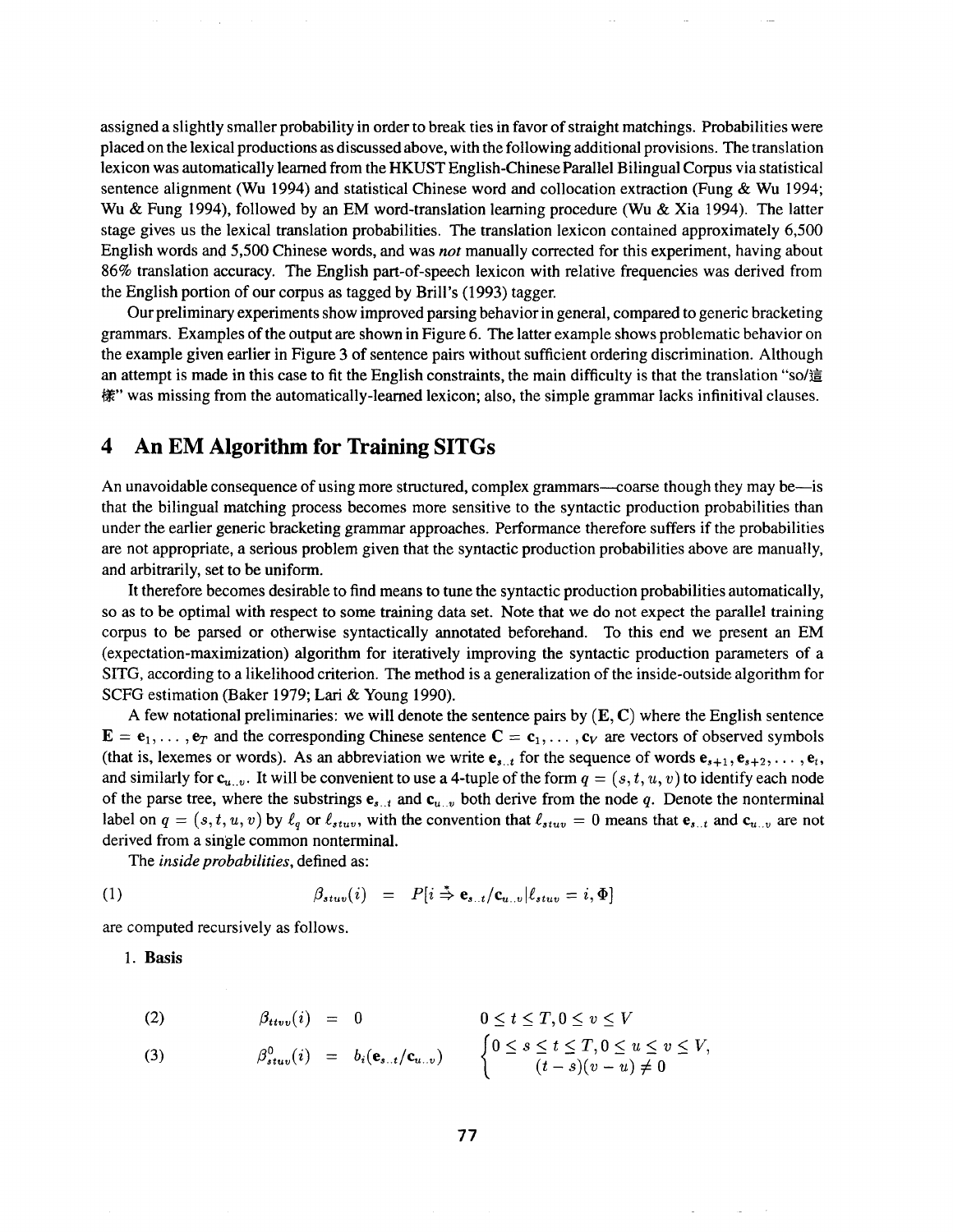assigned a slightly smaller probability in order to break ties in favor of straight matchings. Probabilities were placed on the lexical productions as discussed above, with the following additional provisions. The translation lexicon was automatically learned from the HKUST English-Chinese Parallel Bilingual Corpus via statistical sentence alignment (Wu 1994) and statistical Chinese word and collocation extraction (Fung & Wu 1994; Wu & Fung 1994), followed by an EM word-translation learning procedure (Wu & Xia 1994). The latter stage gives us the lexical translation probabilities. The translation lexicon contained approximately 6,500 English words and 5,500 Chinese words, and was *not* manually corrected for this experiment, having about 86% translation accuracy. The English part-of-speech lexicon with relative frequencies was derived from the English portion of our corpus as tagged by Brill's (1993) tagger.

Our preliminary experiments show improved parsing behavior in general, compared to generic bracketing grammars. Examples of the output are shown in Figure 6. The latter example shows problematic behavior on the example given earlier in Figure 3 of sentence pairs without sufficient ordering discrimination. Although an attempt is made in this case to fit the English constraints, the main difficulty is that the translation "so/這 樣" was missing from the automatically-learned lexicon; also, the simple grammar lacks infinitival clauses.

# **4 An EM Algorithm for Training SITGs**

An unavoidable consequence of using more structured, complex grammars—coarse though they may be—is that the bilingual matching process becomes more sensitive to the syntactic production probabilities than under the earlier generic bracketing grammar approaches. Performance therefore suffers if the probabilities are not appropriate, a serious problem given that the syntactic production probabilities above are manually, and arbitrarily, set to be uniform.

It therefore becomes desirable to find means to tune the syntactic production probabilities automatically, so as to be optimal with respect to some training data set. Note that we do not expect the parallel training corpus to be parsed or otherwise syntactically annotated beforehand. To this end we present an EM (expectation-maximization) algorithm for iteratively improving the syntactic production parameters of a SITG, according to a likelihood criterion. The method is a generalization of the inside-outside algorithm for SCFG estimation (Baker 1979; Lari & Young 1990).

A few notational preliminaries: we will denote the sentence pairs by  $(E, C)$  where the English sentence  $\mathbf{E} = \mathbf{e}_1, \dots, \mathbf{e}_T$  and the corresponding Chinese sentence  $\mathbf{C} = \mathbf{c}_1, \dots, \mathbf{c}_V$  are vectors of observed symbols (that is, lexemes or words). As an abbreviation we write  $e_{s..t}$  for the sequence of words  $e_{s+1}, e_{s+2}, \ldots, e_t$ , and similarly for  $c_{u...v}$ . It will be convenient to use a 4-tuple of the form  $q = (s, t, u, v)$  to identify each node of the parse tree, where the substrings  $e_{s...t}$  and  $c_{u...v}$  both derive from the node q. Denote the nonterminal label on  $q = (s, t, u, v)$  by  $\ell_q$  or  $\ell_{stuv}$ , with the convention that  $\ell_{stuv} = 0$  means that  $e_{s..t}$  and  $e_{u..v}$  are not derived from a single common nonterminal.

*The inside probabilities,* defined as:

(1) 
$$
\beta_{stuv}(i) = P[i \stackrel{*}{\Rightarrow} \mathbf{e}_{s..t}/\mathbf{c}_{u..v} | \ell_{stuv} = i, \Phi]
$$

are computed recursively as follows.

**1. Basis** 

$$
(2) \qquad \beta_{ttvv}(i) = 0 \qquad \qquad 0 \le t \le T, 0 \le v \le V
$$

(3) 
$$
\beta_{stuv}^0(i) = b_i(\mathbf{e}_{s..t}/\mathbf{c}_{u..v}) \qquad \begin{cases} 0 \leq s \leq t \leq T, 0 \leq u \leq v \leq V, \\ (t-s)(v-u) \neq 0 \end{cases}
$$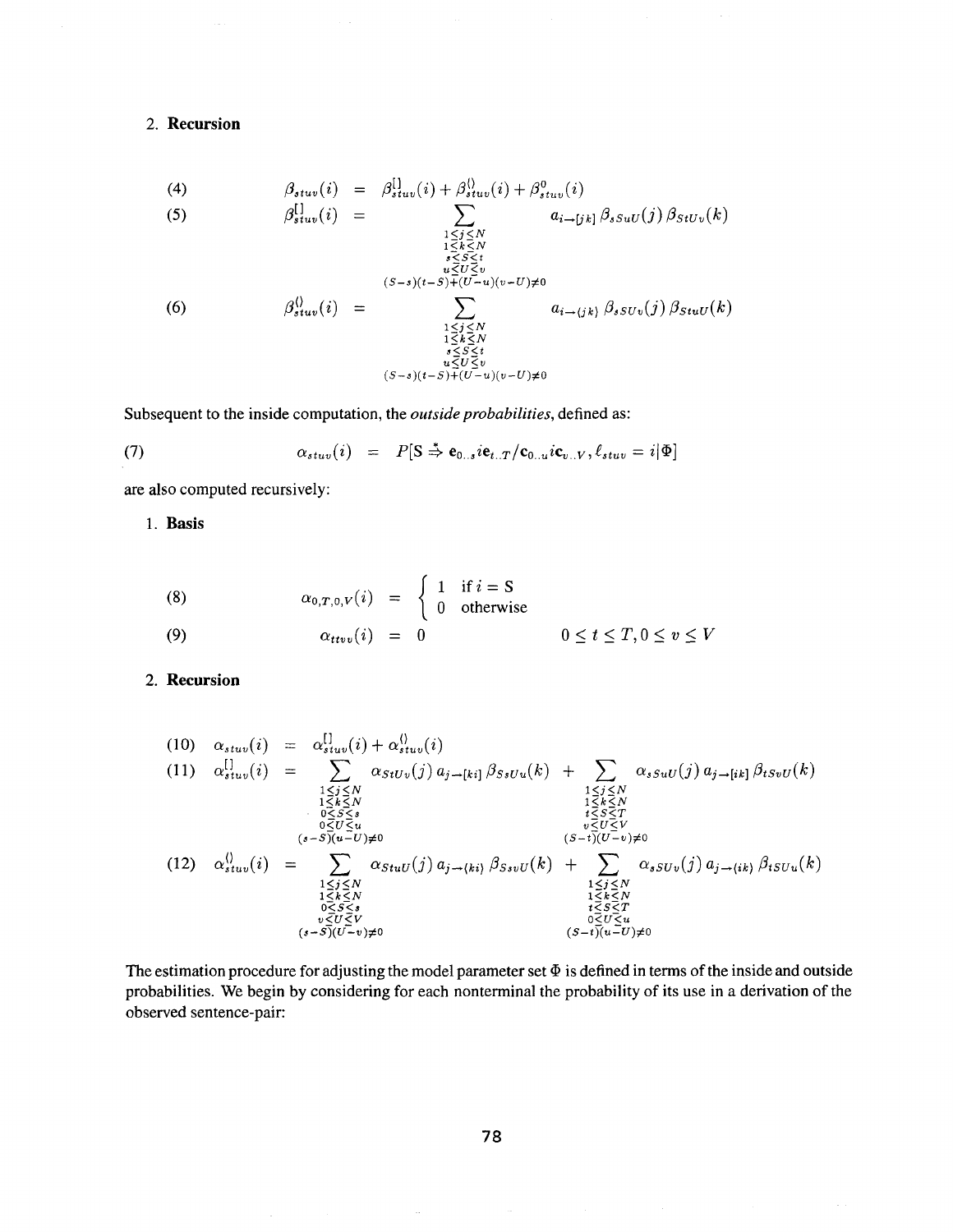### **2. Recursion**

i.

(4) 
$$
\beta_{stuv}(i) = \beta_{stuv}^{[1]}(i) + \beta_{stuv}^{(i)}(i) + \beta_{stuv}^{0}(i)
$$
  
\n(5) 
$$
\beta_{stuv}^{[1]}(i) = \sum_{\substack{1 \leq j \leq N \\ 1 \leq k \leq N \\ s \leq S \leq t \\ u \leq U \leq v \\ 1 \leq k \leq N}} a_{i \to [jk]} \beta_{ssuv}(j) \beta_{stuv}(k)
$$
  
\n(6) 
$$
\beta_{stuv}^{(i)}(i) = \sum_{\substack{1 \leq j \leq N \\ 1 \leq k \leq N \\ 1 \leq k \leq N \\ s \leq S \leq t \\ u \leq U \leq v \\ u \leq U \leq v}} a_{i \to (jk)} \beta_{ssuv}(j) \beta_{stuv}(k)
$$

Subsequent to the inside computation, the *outside probabilities,* defined as:

(7) 
$$
\alpha_{stuv}(i) = P[S \stackrel{*}{\Rightarrow} \mathbf{e}_{0..s} i\mathbf{e}_{t..T}/\mathbf{c}_{0..u} i\mathbf{c}_{v..V}, \ell_{stuv} = i|\Phi]
$$

are also computed recursively:

**1. Basis** 

(8) 
$$
\alpha_{0,T,0,V}(i) = \begin{cases} 1 & \text{if } i = S \\ 0 & \text{otherwise} \end{cases}
$$
  
(9) 
$$
\alpha_{ttvv}(i) = 0 \qquad 0 \le t \le T, 0 \le v \le V
$$

#### **2. Recursion**

(10) 
$$
\alpha_{stuv}(i) = \sum_{\substack{1 \leq j \leq N \\ 1 \leq k \leq N \\ 0 \leq S \leq s \\ 0 \leq U \leq u \\ (s-S)(u-v) \neq 0}} \alpha_{stuv}(j) a_{j \to [ki]} \beta_{SsUu}(k) + \sum_{\substack{1 \leq j \leq N \\ 1 \leq k \leq N \\ 0 \leq U \leq u \\ (s-s)(u-v) \neq 0}} \alpha_{ssuU}(j) a_{j \to [ki]} \beta_{tsvU}(k)
$$
\n(12) 
$$
\alpha_{stuv}^{(j)}(i) = \sum_{\substack{1 \leq j \leq N \\ 1 \leq k \leq N \\ 0 \leq t \leq N \\ 0 \leq t \leq N \\ 0 \leq t \leq N \\ (s-S)(U-v) \neq 0}} \alpha_{stuv}(j) a_{j \to (ki)} \beta_{ssvU}(k) + \sum_{\substack{1 \leq j \leq N \\ 1 \leq k \leq N \\ 1 \leq k \leq N \\ 1 \leq k \leq N \\ 0 \leq U \leq u \\ 0 \leq U \leq u}} \alpha_{sSU}(j) a_{j \to (ik)} \beta_{tSUu}(k)
$$

The estimation procedure for adjusting the model parameter set  $\Phi$  is defined in terms of the inside and outside probabilities. We begin by considering for each nonterminal the probability of its use in a derivation of the observed sentence-pair: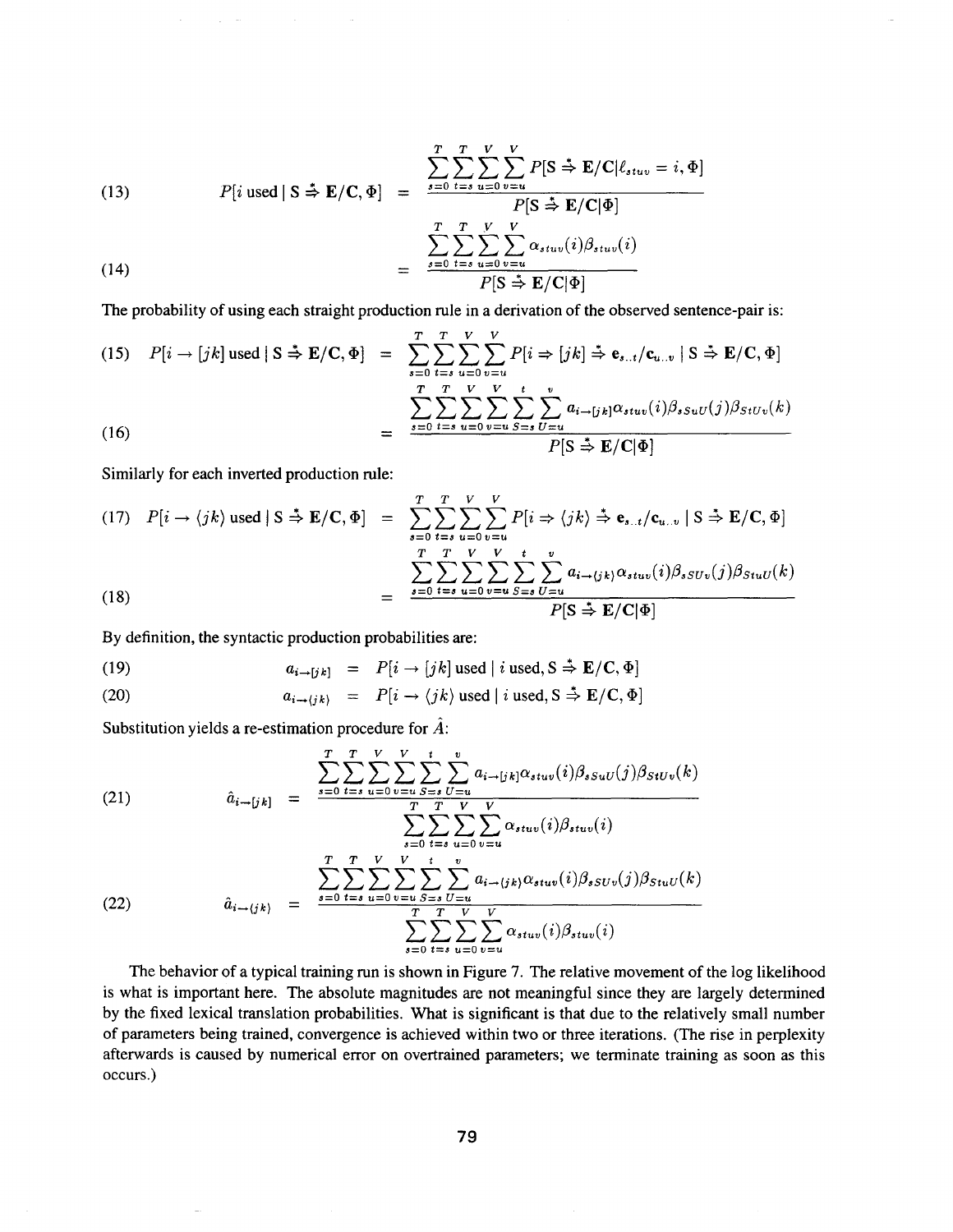(13) 
$$
P[i \text{ used} | S \stackrel{\ast}{\Rightarrow} \mathbf{E}/\mathbf{C}, \Phi] = \frac{\sum_{s=0}^{T} \sum_{t=s}^{V} \sum_{u=0}^{V} P[S \stackrel{\ast}{\Rightarrow} \mathbf{E}/\mathbf{C} | \ell_{stuv} = i, \Phi]}{P[S \stackrel{\ast}{\Rightarrow} \mathbf{E}/\mathbf{C} | \Phi]}
$$

$$
= \frac{\sum_{s=0}^{T} \sum_{t=s}^{T} \sum_{u=0}^{V} \sum_{v=u}^{V} \alpha_{stuv}(i) \beta_{stuv}(i)}{P[S \stackrel{\ast}{\Rightarrow} \mathbf{E}/\mathbf{C} | \Phi]}
$$

The probability of using each straight production rule in a derivation of the observed sentence-pair is:

(15) 
$$
P[i \rightarrow [jk] \text{ used} \mid S \stackrel{\ast}{\Rightarrow} \mathbf{E}/\mathbf{C}, \Phi] = \sum_{s=0}^{T} \sum_{t=s}^{T} \sum_{u=0}^{V} \sum_{v=u}^{V} P[i \Rightarrow [jk] \stackrel{\ast}{\Rightarrow} \mathbf{e}_{s..t}/\mathbf{c}_{u..v} \mid S \stackrel{\ast}{\Rightarrow} \mathbf{E}/\mathbf{C}, \Phi]
$$

$$
= \frac{\sum_{s=0}^{T} \sum_{t=s}^{T} \sum_{u=0}^{V} \sum_{v=u}^{V} \sum_{S=s}^{t} \sum_{U=u}^{v} a_{i \rightarrow [jk]} \alpha_{stuv}(i) \beta_{ssuU}(j) \beta_{StUv}(k)}{P[S \stackrel{\ast}{\Rightarrow} \mathbf{E}/\mathbf{C} | \Phi]}
$$

Similarly for each inverted production rule:

(17) 
$$
P[i \rightarrow \langle jk \rangle \text{ used} | S \stackrel{\ast}{\Rightarrow} \mathbf{E}/\mathbf{C}, \Phi] = \sum_{s=0}^{T} \sum_{t=s}^{T} \sum_{u=0}^{V} \sum_{v=u}^{V} P[i \Rightarrow \langle jk \rangle \stackrel{\ast}{\Rightarrow} \mathbf{e}_{s..t} / \mathbf{c}_{u..v} | S \stackrel{\ast}{\Rightarrow} \mathbf{E}/\mathbf{C}, \Phi]
$$
  

$$
= \frac{\sum_{s=0}^{T} \sum_{t=s}^{T} \sum_{u=0}^{V} \sum_{v=u}^{V} \sum_{S=s}^{t} \sum_{U=u}^{v} a_{i \rightarrow \langle jk \rangle} \alpha_{stuv}(i) \beta_{sSUv}(j) \beta_{StuU}(k)}{P[S \stackrel{\ast}{\Rightarrow} \mathbf{E}/\mathbf{C} | \Phi]}
$$

By definition, the syntactic production probabilities are:

 $\sim$ 

 $\bar{z}$ 

 $\Delta \phi = 0.01$ 

(19) 
$$
a_{i \to [jk]} = P[i \to [jk] \text{ used } | i \text{ used}, S \stackrel{*}{\Rightarrow} E/C, \Phi]
$$

(20) 
$$
a_{i \to \langle jk \rangle} = P[i \to \langle jk \rangle \text{ used} | i \text{ used}, S \stackrel{*}{\Rightarrow} E/C, \Phi]
$$

Substitution yields a re-estimation procedure for  $\hat{A}$ :

(21) 
$$
\hat{a}_{i \to [jk]} = \frac{\sum_{s=0}^{T} \sum_{t=s}^{T} \sum_{u=0}^{V} \sum_{v=u}^{t} \sum_{S=s}^{t} \sum_{U=u}^{v} a_{i \to [jk]} \alpha_{stuv}(i) \beta_{ssuU}(j) \beta_{StUv}(k)}{\sum_{s=0}^{T} \sum_{t=s}^{T} \sum_{u=0}^{V} \sum_{v=u}^{V} \alpha_{stuv}(i) \beta_{stuv}(i)}
$$
\n(22) 
$$
\hat{a}_{i \to (jk)} = \frac{\sum_{s=0}^{T} \sum_{t=s}^{T} \sum_{u=0}^{V} \sum_{v=u}^{t} a_{i \to (jk)} \alpha_{stuv}(i) \beta_{sSUv}(j) \beta_{StuU}(k)}{\sum_{s=0}^{T} \sum_{t=s}^{T} \sum_{u=0}^{V} \sum_{v=u}^{V} \alpha_{stuv}(i) \beta_{stuv}(i)}
$$

The behavior of a typical training run is shown in Figure 7. The relative movement of the log likelihood is what is important here. The absolute magnitudes are not meaningful since they are largely determined by the fixed lexical translation probabilities. What is significant is that due to the relatively small number of parameters being trained, convergence is achieved within two or three iterations. (The rise in perplexity afterwards is caused by numerical error on overtrained parameters; we terminate training as soon as this occurs.)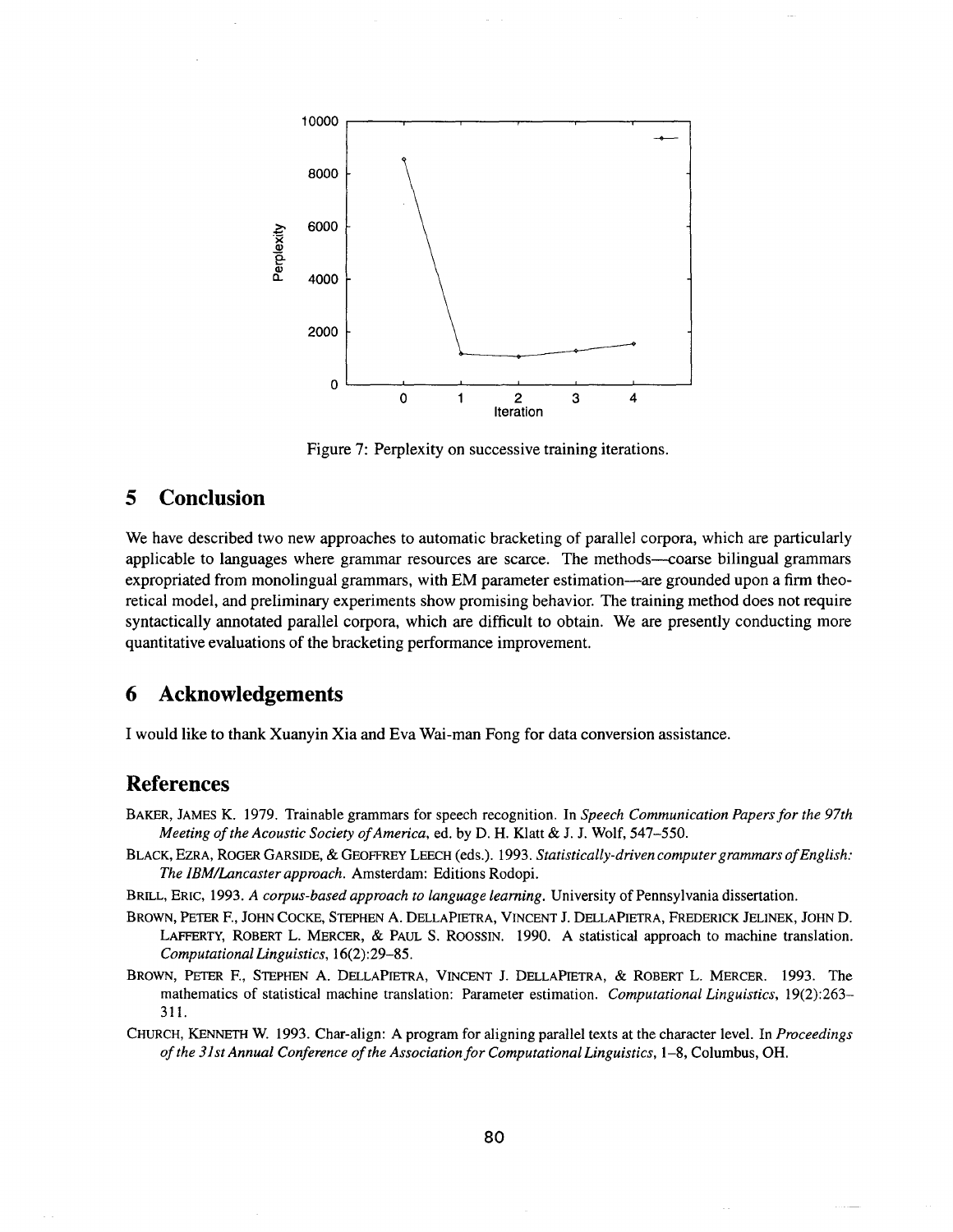

**Figure 7: Perplexity on successive training iterations.** 

# **5 Conclusion**

We have described two new approaches to automatic bracketing of parallel corpora, which are particularly applicable to languages where grammar resources are scarce. The methods---coarse bilingual grammars expropriated from monolingual grammars, with EM parameter estimation—are grounded upon a firm theoretical model, and preliminary experiments show promising behavior. The training method does not require syntactically annotated parallel corpora, which are difficult to obtain. We are presently conducting more quantitative evaluations of the bracketing performance improvement.

# **6 Acknowledgements**

I would like to thank Xuanyin Xia and Eva Wai-man Fong for data conversion assistance.

# **References**

- BAKER, JAMES K. 1979. Trainable grammars for speech recognition. In *Speech Communication Papers for the 97th Meeting of the Acoustic Society of America,* ed. by D. H. Klatt & J. J. Wolf, 547-550.
- BLACK, EZRA, ROGER GARSIDE, & GEOFFREY LEECH (eds.). 1993. *Statistically-driven computer grammars of English: The IBM~Lancaster approach.* Amsterdam: Editions Rodopi.
- BRILL, ERIC, 1993. *A corpus-based approach to language learning.* University of Pennsylvania dissertation.
- BROWN, PETER F., JOHN COCKE, STEPHEN A. DELLAPIETRA, VINCENT J. DELLAPIETRA, FREDERICK JELINEK, JOHN D. LAFFERTY, ROBERT L. MERCER, & PAUL S. ROOSSIN. 1990. A statistical approach to machine translation. *Computational Linguistics,* 16(2):29-85.
- BROWN, PETER F., STEPHEN A. DELLAPIETRA, VINCENT J. DELLAPIETRA, & ROBERT L. MERCER. 1993. The mathematics of statistical machine translation: Parameter estimation. *Computational Linguistics,* 19(2):263- 311.
- CHURCH, KENNETH W. 1993. Char-align: A program for aligning parallel texts at the character level. In *Proceedings of the 31st Annual Conference of the Association for Computational Linguistics,* 1-8, Columbus, OH.